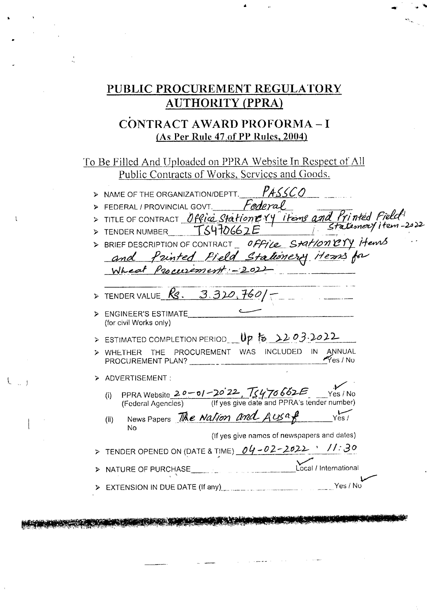## PUBLIC PROCUREMENT REGULATORY **AUTHORITY (PPRA)**

#### CONTRACT AWARD PROFORMA-I (As Per Rule 47 of PP Rules, 2004)

To Be Filled And Uploaded on PPRA Website In Respect of All Public Contracts of Works, Services and Goods.

 $\mathbf{I}$ 

> NAME OF THE ORGANIZATION/DEPTT. PASSCO > RAWIE OF THE ORGANIZATION OF THE CONTRACT CONT. Federal<br>> TITLE OF CONTRACT Office Statione Y' items and Printed Field!<br>> TENDER NUMBER TS470662E > BRIEF DESCRIPTION OF CONTRACT\_ OFFICE Station Cry items and Printed Field Stationery items for Wheat Procurement: - 202  $\triangleright$  TENDER VALUE  $\overline{\mathcal{R}}$ S. 3.320, 760/-> ENGINEER'S ESTIMATE (for civil Works only) > ESTIMATED COMPLETION PERIOD Up to 2203.2022 WHETHER THE PROCUREMENT WAS INCLUDED IN ANNUAL  $\gamma$ es / No PROCUREMENT PLAN? > ADVERTISEMENT: (i) PPRA Website  $20 - 01 - 20'22$ ,  $\sqrt{2470662}$  Yes / No<br>(Federal Agencies) (If yes give date and PPRA's tender number) News Papers The Nation and Ausaf vest  $(ii)$  $\mathbf{M}$ (If yes give names of newspapers and dates) > TENDER OPENED ON (DATE & TIME)  $04 - 02 - 2022$  ' //:30 Local / International > NATURE OF PURCHASE > EXTENSION IN DUE DATE (If any) Yes / No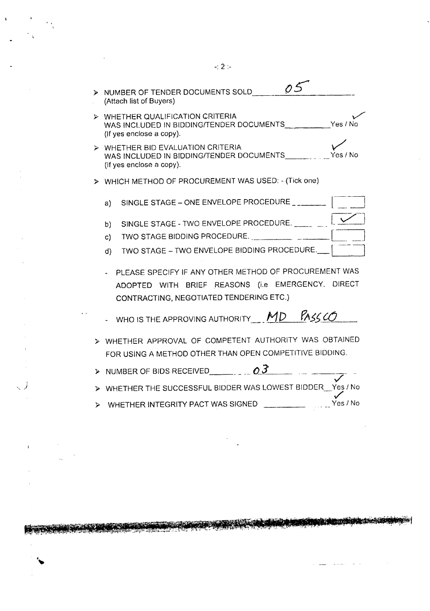| NUMBER OF TENDER DOCUMENTS SOLD<br>$\sim$<br>(Attach list of Buyers)                                                                                  |
|-------------------------------------------------------------------------------------------------------------------------------------------------------|
| WHETHER QUALIFICATION CRITERIA<br>⋗<br>WAS INCLUDED IN BIDDING/TENDER DOCUMENTS Yes / No<br>(If yes enclose a copy).                                  |
| > WHETHER BID EVALUATION CRITERIA<br>WAS INCLUDED IN BIDDING/TENDER DOCUMENTS __________ Yes / No<br>(If yes enclose a copy).                         |
| > WHICH METHOD OF PROCUREMENT WAS USED: - (Tick one)                                                                                                  |
| SINGLE STAGE - ONE ENVELOPE PROCEDURE<br>a)                                                                                                           |
| SINGLE STAGE - TWO ENVELOPE PROCEDURE. _____ __<br>b)                                                                                                 |
| TWO STAGE BIDDING PROCEDURE.<br>c)                                                                                                                    |
| TWO STAGE - TWO ENVELOPE BIDDING PROCEDURE.<br>d)                                                                                                     |
| PLEASE SPECIFY IF ANY OTHER METHOD OF PROCUREMENT WAS<br>ADOPTED WITH BRIEF REASONS (i.e EMERGENCY, DIRECT<br>CONTRACTING, NEGOTIATED TENDERING ETC.) |
| - WHO IS THE APPROVING AUTHORITY $MD$ PASS CO                                                                                                         |
| > WHETHER APPROVAL OF COMPETENT AUTHORITY WAS OBTAINED<br>FOR USING A METHOD OTHER THAN OPEN COMPETITIVE BIDDING.                                     |
| > NUMBER OF BIDS RECEIVED $\overline{O3}$ $\overline{3}$ $\overline{3}$ $\overline{3}$                                                                |

- $>$  WHETHER THE SUCCESSFUL BIDDER WAS LOWEST BIDDER  $\overrightarrow{Y}$ es / No
- );> WHETHER INTEGRITY PACT WAS SIGNED Yes *I* No

<u> Kama a matang atawang ka</u>

 $\hat{y}$  , and an experimental function

, ,

 $\mathbf{I}$ 

 $\mathcal{A}_\bullet$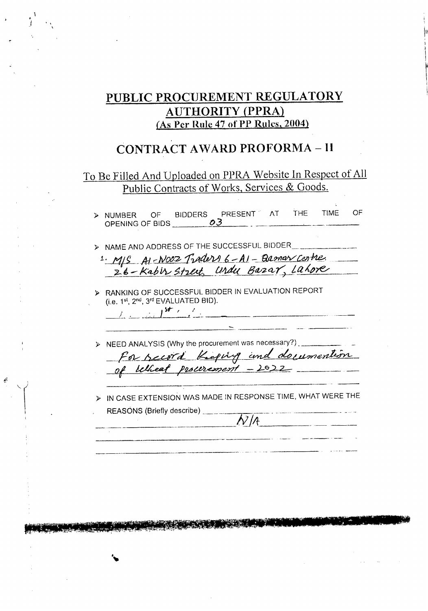### PUBLIC PROCUREMENT REGULATORY **AUTHORITY (PPRA)** (As Per Rule 47 of PP Rules, 2004)

# **CONTRACT AWARD PROFORMA-II**

### To Be Filled And Uploaded on PPRA Website In Respect of All Public Contracts of Works, Services & Goods.

> NUMBER OF BIDDERS PRESENT AT THE<br>OPENING OF BIDS 03 **TIME** OF > NAME AND ADDRESS OF THE SUCCESSFUL BIDDER 1. MS AI-NOOZ Traders 6-AI-Barnar Centre. > RANKING OF SUCCESSFUL BIDDER IN EVALUATION REPORT (i.e. 1<sup>st</sup>, 2<sup>nd</sup>, 3<sup>rd</sup> EVALUATED BID).  $\frac{1}{2}$  is in the set of  $\frac{1}{2}$ > NEED ANALYSIS (Why the procurement was necessary?). for record Keping and documention > IN CASE EXTENSION WAS MADE IN RESPONSE TIME, WHAT WERE THE REASONS (Briefly describe) \_\_\_\_\_\_  $N/A$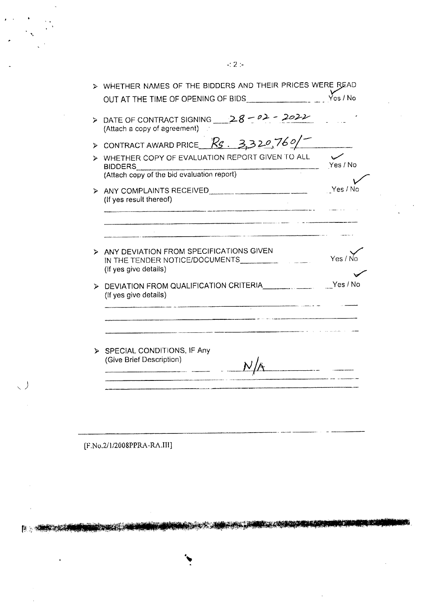| ⋗                     | WHETHER NAMES OF THE BIDDERS AND THEIR PRICES WERE READ                                            |                        |  |  |
|-----------------------|----------------------------------------------------------------------------------------------------|------------------------|--|--|
|                       | OUT AT THE TIME OF OPENING OF BIDS <b>CONTAINER THE SET OF STATE</b>                               | $\overline{Y}$ cs / No |  |  |
|                       | > DATE OF CONTRACT SIGNING $28-02-2022$<br>(Attach a copy of agreement)                            |                        |  |  |
| $\blacktriangleright$ | CONTRACT AWARD PRICE $R_5$ 3320,760/                                                               |                        |  |  |
|                       | WHETHER COPY OF EVALUATION REPORT GIVEN TO ALL<br><b>BIDDERS</b>                                   | Yes / No               |  |  |
|                       | (Attach copy of the bid evaluation report)                                                         |                        |  |  |
|                       | (If yes result thereof)                                                                            | Yes / No               |  |  |
|                       | ANY DEVIATION FROM SPECIFICATIONS GIVEN<br>IN THE TENDER NOTICE/DOCUMENTS<br>(If yes give details) | Yes / t                |  |  |
|                       | DEVIATION FROM QUALIFICATION CRITERIA CONTROLL DEVICE IN NO<br>(If yes give details)               |                        |  |  |
|                       | > SPECIAL CONDITIONS, IF Any<br>(Give Brief Description)                                           |                        |  |  |

--------------------- \_..-.--- - -'--

<u> 대학생들은 대학생들이 가</u>지 않아 있다.

[F.No.2/1/2008PPRA -RA.III]

المسمور<br>محمد العام

'.

、丿

 $E_{\rm{B}}$  , which are  $E_{\rm{B}}$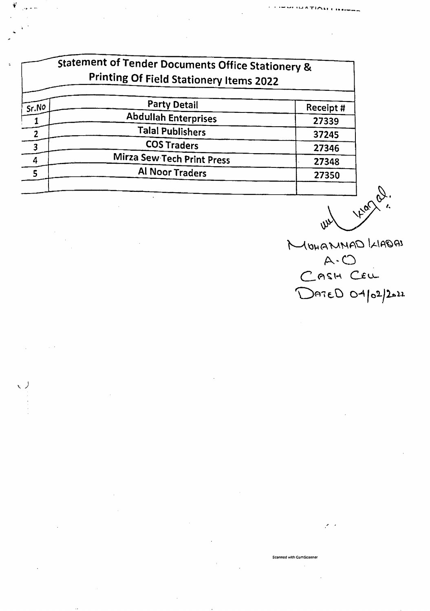|       | <b>Statement of Tender Documents Office Stationery &amp;</b><br><b>Printing Of Field Stationery Items 2022</b> |           |  |
|-------|----------------------------------------------------------------------------------------------------------------|-----------|--|
| Sr.No | <b>Party Detail</b>                                                                                            | Receipt # |  |
|       | <b>Abdullah Enterprises</b>                                                                                    | 27339     |  |
|       | <b>Talal Publishers</b>                                                                                        | 37245     |  |
|       | <b>COS Traders</b>                                                                                             | 27346     |  |
| 4     | Mirza Sew Tech Print Press                                                                                     | 27348     |  |
| 5     | Al Noor Traders                                                                                                | 27350     |  |
|       |                                                                                                                |           |  |

ヽノ

yeard. **Lew** 

MOHAMMAD KIADAI DATED 04/02/2022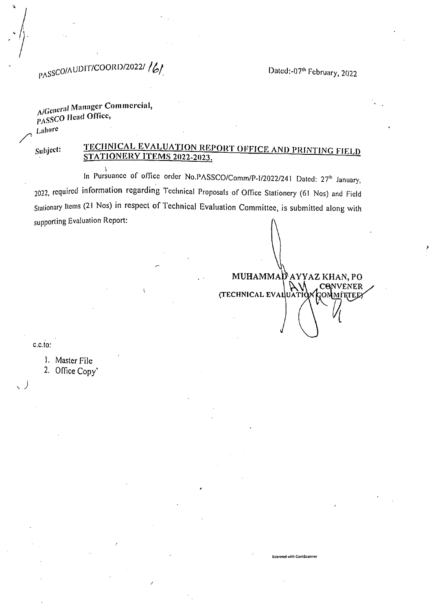Dated:-07th February, 2022

D AYYAZ KHAN, PO

Scanned with CamScanner

CONVENER

**7OMMITTEE)** 

# PASSCO/AUDIT/COORD/2022//6/

#### A/General Manager Commercial, PASSCO Head Office, Lahore

Subject:

#### TECHNICAL EVALUATION REPORT OFFICE AND PRINTING FIELD STATIONERY ITEMS 2022-2023.

**MUHAMMA** 

(TECHNICAL EVALUATION

In Pursuance of office order No.PASSCO/Comm/P-1/2022/241 Dated: 27<sup>th</sup> January, 2022, required information regarding Technical Proposals of Office Stationery (61 Nos) and Field Stationary Items (21 Nos) in respect of Technical Evaluation Committee, is submitted along with supporting Evaluation Report:

 $c.c.$ to:

1. Master File

2. Office Copy'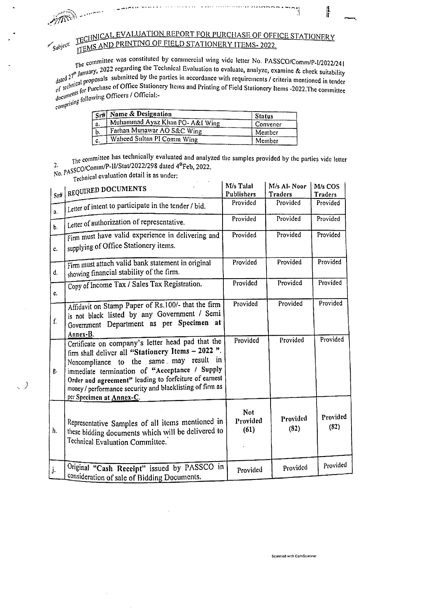where the exploration of the contract of

 $\langle$  )

TECHNICAL EVALUATION REPORT FOR PURCHASE OF OFFICE STATIONERY TEMS AND PRINTING OF FIELD STATIONERY ITEMS-2022.

 $\overline{\phantom{a}}$ 

ŀ

The committee was constituted by commercial wing vide letter No. PASSCO/Comm/P-I/2022/241 The community of communication wing vide letter No. PASSCO/Comm/P-I/2022/241<br>dated 27<sup>th</sup> January, 2022 regarding the Technical Evaluation to evaluate, analyze, examine & check suitability<br>dated 27<sup>th</sup> January, 2022 regar dated  $27^{\circ}$  January, even remained the parties in accordance with requirements / criteria mentioned in tender<br>of technical proposals submitted by the parties in accordance with requirements / criteria mentioned in tend of technical proportions of Office Stationery Items and Printing of Field Stationery Items -2022. The committee documents for Purchase of Office Stationery Items and Printing of Field Stationery Items -2022. The committee documents in following Officers / Official:

|           | Sr# Name & Designation          | <b>Status</b> |
|-----------|---------------------------------|---------------|
| <u>.a</u> | Muhammad Ayaz Khan PO- A&I Wing | Convener      |
| Ъ.        | Farhan Munawar AO S&C Wing      | Member        |
| гc.       | Waheed Sultan PI Comm Wing      | Member        |

The committee has technically evaluated and analyzed the samples provided by the parties vide letter 2. Mo. PASSCO/Comm/P-II/Stat/2022/298 dated 4th Feb, 2022.

 $Technical evaluation detail is as under:$ 

| Sr#            | REQUIRED DOCUMENTS                                                                                                                                                                                                                                                                                                                                  | M/s Talal<br>Publishers        | M/s Al-Noor<br>Traders | M/s COS<br><b>Traders</b> |
|----------------|-----------------------------------------------------------------------------------------------------------------------------------------------------------------------------------------------------------------------------------------------------------------------------------------------------------------------------------------------------|--------------------------------|------------------------|---------------------------|
| a.             | Letter of intent to participate in the tender / bid.                                                                                                                                                                                                                                                                                                | Provided                       | Provided               | Provided                  |
| $\mathbf{b}$ . | Letter of authorization of representative.                                                                                                                                                                                                                                                                                                          | Provided                       | Provided               | Provided                  |
| c.             | Firm must have valid experience in delivering and<br>supplying of Office Stationery items.                                                                                                                                                                                                                                                          | Provided                       | Provided               | Provided                  |
| d.             | Firm must attach valid bank statement in original<br>showing financial stability of the firm.                                                                                                                                                                                                                                                       | Provided                       | Provided               | Provided                  |
| e.             | Copy of Income Tax / Sales Tax Registration.                                                                                                                                                                                                                                                                                                        | Provided                       | Provided               | Provided                  |
| f.             | Affidavit on Stamp Paper of Rs.100/- that the firm<br>is not black listed by any Government / Semi<br>Government Department as per Specimen at<br>Annex-B.                                                                                                                                                                                          | Provided                       | Provided               | Provided                  |
| g.             | Certificate on company's letter head pad that the<br>firm shall deliver all "Stationery Items - 2022".<br>Noncompliance to the same may result in<br>immediate termination of "Acceptance / Supply<br>Order and agreement" leading to forfeiture of earnest<br>money / performance security and blacklisting of firm as<br>per Specimen at Annex-C. | Provided                       | Provided               | Provided                  |
| h.             | Representative Samples of all items mentioned in<br>these bidding documents which will be delivered to<br>Technical Evaluation Committee.                                                                                                                                                                                                           | <b>Not</b><br>Provided<br>(61) | Provided<br>(82)       | Provided<br>(82)          |
| j.             | Original "Cash Receipt" issued by PASSCO in<br>consideration of sale of Bidding Documents.                                                                                                                                                                                                                                                          | Provided                       | Provided               | Provided                  |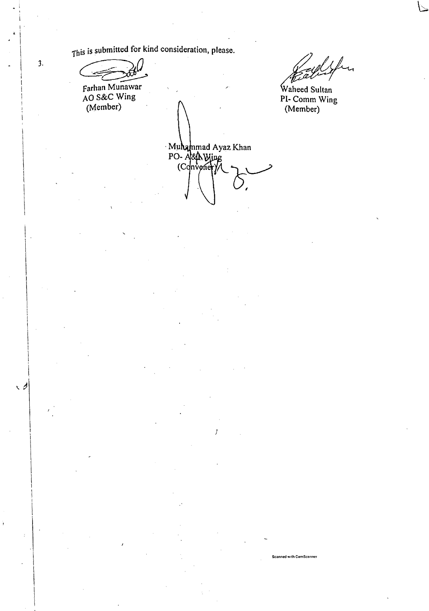This is submitted for kind consideration, please.

Farhan Munawar<br>AO S&C Wing<br>(Member)

iku

Waheed Sultan PI-Comm Wing<br>(Member)

Scanned with CamScanner

Muhammad Ayaz Khan<br>PO-A&A Wing<br>(Convoner)

 $\overline{3}$ .

 $\sqrt{2}$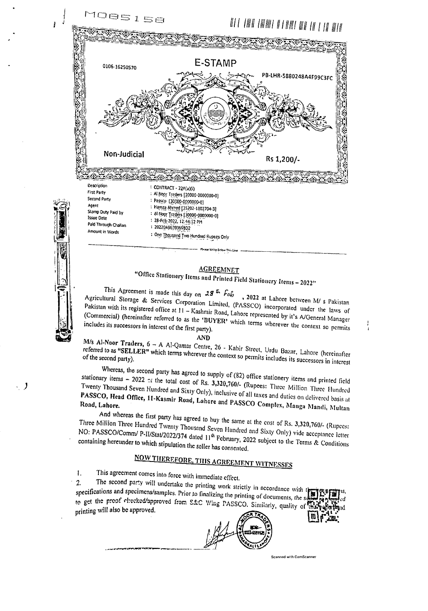

#### **AGREEMNET**

"Office Stationery Items and Printed Field Stationery Items - 2022"

 $T_{\text{total}}$   $T_{\text{total}}$   $T_{\text{total}}$   $T_{\text{total}}$   $T_{\text{total}}$   $T_{\text{total}}$   $T_{\text{total}}$   $T_{\text{total}}$   $T_{\text{total}}$  s  $T_{\text{total}}$  s  $T_{\text{total}}$  s  $T_{\text{total}}$  s  $T_{\text{total}}$  s  $T_{\text{total}}$  s  $T_{\text{total}}$  s  $T_{\text{total}}$  s  $T_{\text{total}}$  s  $T_{\text{total}}$  s  $T_{\text{total}}$  s  $T_{\text{total}}$  $\overline{P}$   $\overline{P}$  are under the laws  $\overline{P}$  corporation Limited, (PASSCO) incorporated under the laws of laws of laws of laws of laws of laws of laws of laws of laws of laws of laws of laws of laws of laws of laws of la  $P_{\text{S}}$  is registered office at  $11 -$  Kashmir Road, Lahore represented by it with  $\Delta t$ Pakistan with its registered office at  $11 -$  Kashmir Road, Lahore represented by it's A/General Manager (Commercial) (hereinafter referred to as the 'BUYER' which terms wherever the context so permits includes its success (Commercial) (hereinafter referred to as the 'BUYER' which terms wherever the context so permits

AND

 $\frac{M}{s}$  are  $\frac{M}{s}$  and  $\frac{M}{s}$  are  $\frac{M}{s}$  Centre, 26 - Kabir Street, Urdu Bazar, Lahore (hereinafter  $\frac{M}{s}$ referred to as "SELLER" which terms wherever the context so permits includes its successors in interest referred to as "SELLER" which terms wherever the context so permits includes its successors in interest

Whereas, the second party has agreed to supply of (82) office stationery items and printed field stationary items - 2022 :: the total cost of Rs. 3,320,760/- (Rupees: Three Million Three Hundred Twenty Thousand Seven Hundred and Sixty Only), inclusive of all taxes and duties on delivered basis at PASSCO, Head Office, 11-Kasmir Road, Lahore and PASSCO Complex, Manga Mandi, Multan

And whereas the first party has agreed to buy the same at the cost of Rs. 3,320,760/- (Rupees: *Three* Million Three Hundred Twenty Thousand Seven Hundred and Sixty Only) vide acceptance letter  $R_{\text{20}}$  containing because  $l_{\text{21}}$  P-III State/2022/374 dated 11<sup>th</sup> February, 2022 subject to the Terms  $\Omega$  Conditions  $\Omega$ containing hereunder to which stipulation the seller has consented.

# NOW THEREFORE, THIS AGREEMENT WITNESSES

I. This agreement comes into force with immediate effecl.

 $~\odot~$   $~\cdot~$ g'

, )

2. The second party will undertake the printing work strictly in accordance with the specifications and specimens/samples. Prior to finalizing the printing of documents of **Ri** specifications and specimens/samples. Prior to finalizing the printing of documents, the s o get the proof checked/approved from S&C Wing PASSCO. Similarly, quality of the proof checked/approved from S&C Wing PASSCO. Similarly, quality of the past-

 $\frac{1}{2}$  $\left(\frac{1}{2}\right)$  $-2$ 

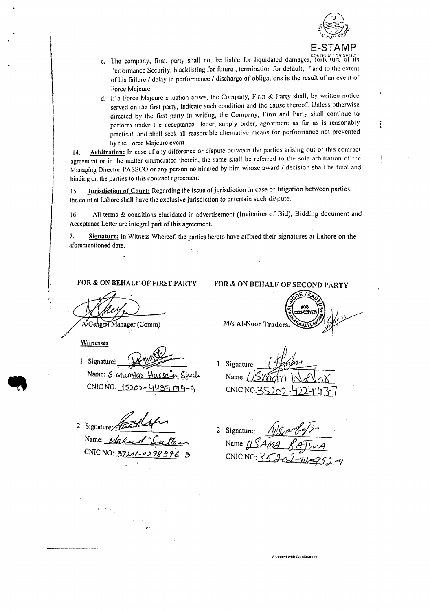

ĩ

Ť

- c. The company, firm, party shall not be liable for liquidated damages, forfeiture of its Performance Security, blacklisting for future, termination for default, if and to the extent of his failure / delay in performance / discharge of obligations is the result of an event of Force Majeure.
- d. If a Force Majeure situation arises, the Company, Firm & Party shall, by written notice served on the first party, indicate such condition and the cause thereof. Unless otherwise directed by the first party in writing, the Company, Firm and Party shall continue to perform under the acceptance letter, supply order, agreement as far as is reasonably practical, and shall seek all reasonable alternative means for performance not prevented by the Force Majeure event.

Arbitration: In case of any difference or dispute between the parties arising out of this contract  $14.$ agreement or in the matter enumerated therein, the same shall be referred to the sole arbitration of the Managing Director PASSCO or any person nominated by him whose award / decision shall be final and binding on the parties to this contract agreement.

Jurisdiction of Court: Regarding the issue of jurisdiction in case of litigation between parties, 15. the court at Lahore shall have the exclusive jurisdiction to entertain such dispute.

All terms & conditions clucidated in advertisement (Invitation of Bid), Bidding document and 16. Acceptance Letter are integral part of this agreement.

 $7.$ Signature: In Witness Whereof, the parties hereto have affixed their signatures at Lahore on the aforementioned date.

FOR & ON BEHALF OF FIRST PARTY

A/General Manager (Comm)

Witnesses

1 Signature:

Name: S. Mumlaz Hussain SI CNIC NO. 15202-4437 179-9

2 Signature Name: enlace CNIC NO:  $57$  $01 - 029999$ 

2 Signature: Name: /

CNIC NO:  $\overline{S}$ 

Scanned with CamScanner

FOR & ON BEHALF OF SECOND PARTY

M/s Al-Noor Traders.

1 Signature: Name:

 $CNICNO.2$